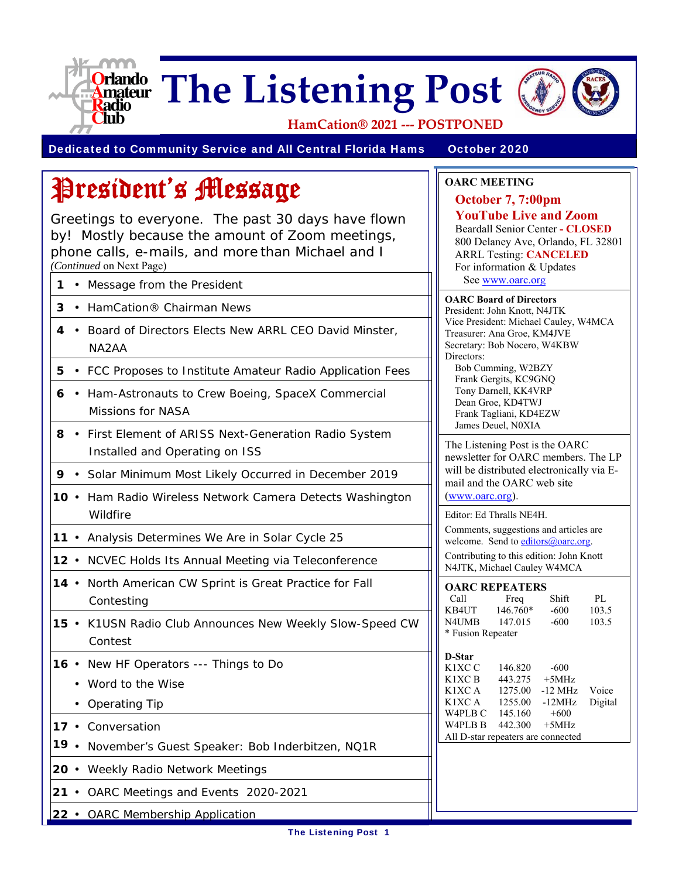

# **The Listening Post**



**HamCation® 2021 ‐‐‐ POSTPONED**

Dedicated to Community Service and All Central Florida Hams October 2020

**OARC MEETING**

**October 7, 7:00pm** 

**YouTube Live and Zoom**  Beardall Senior Center **- CLOSED**  800 Delaney Ave, Orlando, FL 32801 ARRL Testing: **CANCELED** For information & Updates See www.oarc.org **OARC Board of Directors** President: John Knott, N4JTK

Vice President: Michael Cauley, W4MCA

Treasurer: Ana Groe, KM4JVE Secretary: Bob Nocero, W4KBW

Bob Cumming, W2BZY Frank Gergits, KC9GNQ Tony Darnell, KK4VRP Dean Groe, KD4TWJ Frank Tagliani, KD4EZW James Deuel, N0XIA

The Listening Post is the OARC newsletter for OARC members. The LP will be distributed electronically via E-

Comments, suggestions and articles are welcome. Send to editors@oarc.org. Contributing to this edition: John Knott N4JTK, Michael Cauley W4MCA

Call Freq Shift PL<br>KB4UT 146.760\* -600 103.5

K1XC A 1275.00 -12 MHz Voice K1XC A 1255.00 -12MHz Digital

146.760\* -600 103.5<br>147.015 -600 103.5

mail and the OARC web site

(www.oarc.org).

Editor: Ed Thralls NE4H.

**OARC REPEATERS**

\* Fusion Repeater

**D-Star**

N4UMB 147.015 -600

K1XC C 146.820 -600 K1XC B  $443.275 +5$ MHz

W4PLB C 145.160 +600 W4PLB B 442.300 +5MHz All D-star repeaters are connected

Directors:

## President's Message

Greetings to everyone. The past 30 days have flown by! Mostly because the amount of Zoom meetings, phone calls, e-mails, and more than Michael and I *(Continued* on Next Page)

- **1** Message from the President
- **3** HamCation® Chairman News
- **4** Board of Directors Elects New ARRL CEO David Minster, NA2AA
- **5**  FCC Proposes to Institute Amateur Radio Application Fees
- **6** Ham-Astronauts to Crew Boeing, SpaceX Commercial Missions for NASA
- **8**  First Element of ARISS Next-Generation Radio System Installed and Operating on ISS
- **9**  Solar Minimum Most Likely Occurred in December 2019
- **10** Ham Radio Wireless Network Camera Detects Washington **Wildfire**
- **11**  Analysis Determines We Are in Solar Cycle 25
- **12**  NCVEC Holds Its Annual Meeting via Teleconference
- **14**  North American CW Sprint is Great Practice for Fall Contesting
- **15**  K1USN Radio Club Announces New Weekly Slow-Speed CW Contest
- **16**  New HF Operators --- Things to Do
	- Word to the Wise
	- Operating Tip
- **17** Conversation
- **19**  November's Guest Speaker: Bob Inderbitzen, NQ1R
- **20**  Weekly Radio Network Meetings
- **21**  OARC Meetings and Events 2020-2021
- **22**  OARC Membership Application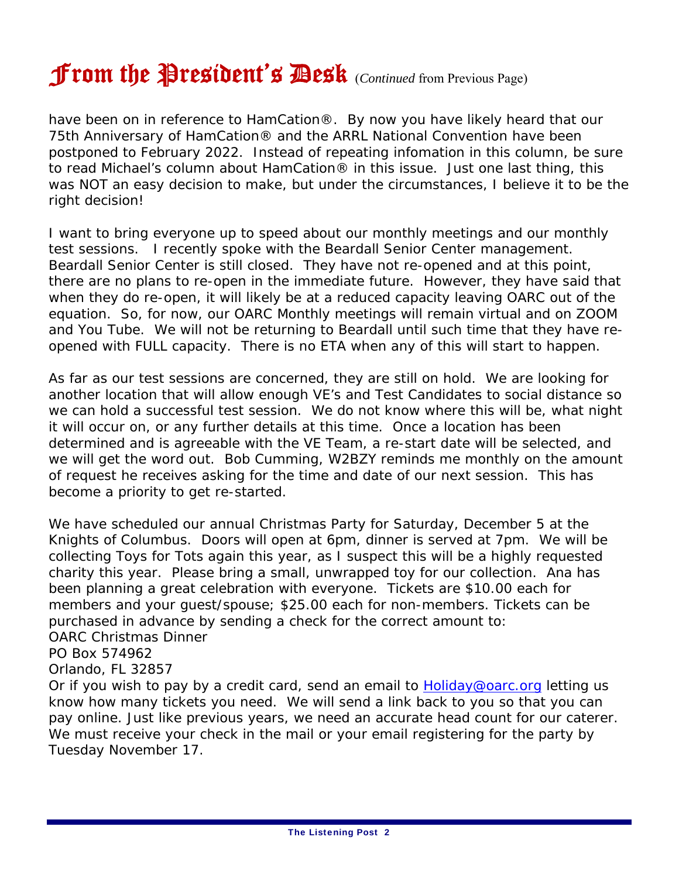### From the President's Desk (*Continued* from Previous Page)

have been on in reference to HamCation®. By now you have likely heard that our 75th Anniversary of HamCation® and the ARRL National Convention have been postponed to February 2022. Instead of repeating infomation in this column, be sure to read Michael's column about HamCation® in this issue. Just one last thing, this was NOT an easy decision to make, but under the circumstances, I believe it to be the right decision!

I want to bring everyone up to speed about our monthly meetings and our monthly test sessions. I recently spoke with the Beardall Senior Center management. Beardall Senior Center is still closed. They have not re-opened and at this point, there are no plans to re-open in the immediate future. However, they have said that when they do re-open, it will likely be at a reduced capacity leaving OARC out of the equation. So, for now, our OARC Monthly meetings will remain virtual and on ZOOM and You Tube. We will not be returning to Beardall until such time that they have reopened with FULL capacity. There is no ETA when any of this will start to happen.

As far as our test sessions are concerned, they are still on hold. We are looking for another location that will allow enough VE's and Test Candidates to social distance so we can hold a successful test session. We do not know where this will be, what night it will occur on, or any further details at this time. Once a location has been determined and is agreeable with the VE Team, a re-start date will be selected, and we will get the word out. Bob Cumming, W2BZY reminds me monthly on the amount of request he receives asking for the time and date of our next session. This has become a priority to get re-started.

We have scheduled our annual Christmas Party for Saturday, December 5 at the Knights of Columbus. Doors will open at 6pm, dinner is served at 7pm. We will be collecting Toys for Tots again this year, as I suspect this will be a highly requested charity this year. Please bring a small, unwrapped toy for our collection. Ana has been planning a great celebration with everyone. Tickets are \$10.00 each for members and your guest/spouse; \$25.00 each for non-members. Tickets can be purchased in advance by sending a check for the correct amount to: OARC Christmas Dinner

#### PO Box 574962

#### Orlando, FL 32857

Or if you wish to pay by a credit card, send an email to Holiday@oarc.org letting us know how many tickets you need. We will send a link back to you so that you can pay online. Just like previous years, we need an accurate head count for our caterer. We must receive your check in the mail or your email registering for the party by Tuesday November 17.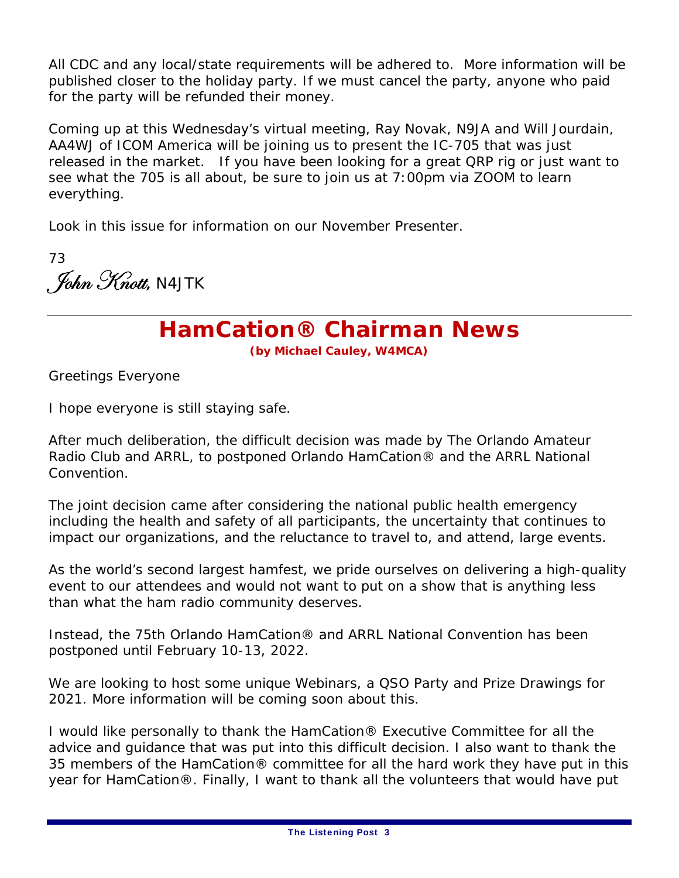All CDC and any local/state requirements will be adhered to. More information will be published closer to the holiday party. If we must cancel the party, anyone who paid for the party will be refunded their money.

Coming up at this Wednesday's virtual meeting, Ray Novak, N9JA and Will Jourdain, AA4WJ of ICOM America will be joining us to present the IC-705 that was just released in the market. If you have been looking for a great QRP rig or just want to see what the 705 is all about, be sure to join us at 7:00pm via ZOOM to learn everything.

Look in this issue for information on our November Presenter.

73 . John Knott, <code>N4JTK</code>

### **HamCation® Chairman News**

**(by Michael Cauley, W4MCA)**

Greetings Everyone

I hope everyone is still staying safe.

After much deliberation, the difficult decision was made by The Orlando Amateur Radio Club and ARRL, to postponed Orlando HamCation® and the ARRL National Convention.

The joint decision came after considering the national public health emergency including the health and safety of all participants, the uncertainty that continues to impact our organizations, and the reluctance to travel to, and attend, large events.

As the world's second largest hamfest, we pride ourselves on delivering a high-quality event to our attendees and would not want to put on a show that is anything less than what the ham radio community deserves.

Instead, the 75th Orlando HamCation® and ARRL National Convention has been postponed until February 10-13, 2022.

We are looking to host some unique Webinars, a QSO Party and Prize Drawings for 2021. More information will be coming soon about this.

I would like personally to thank the HamCation® Executive Committee for all the advice and guidance that was put into this difficult decision. I also want to thank the 35 members of the HamCation® committee for all the hard work they have put in this year for HamCation®. Finally, I want to thank all the volunteers that would have put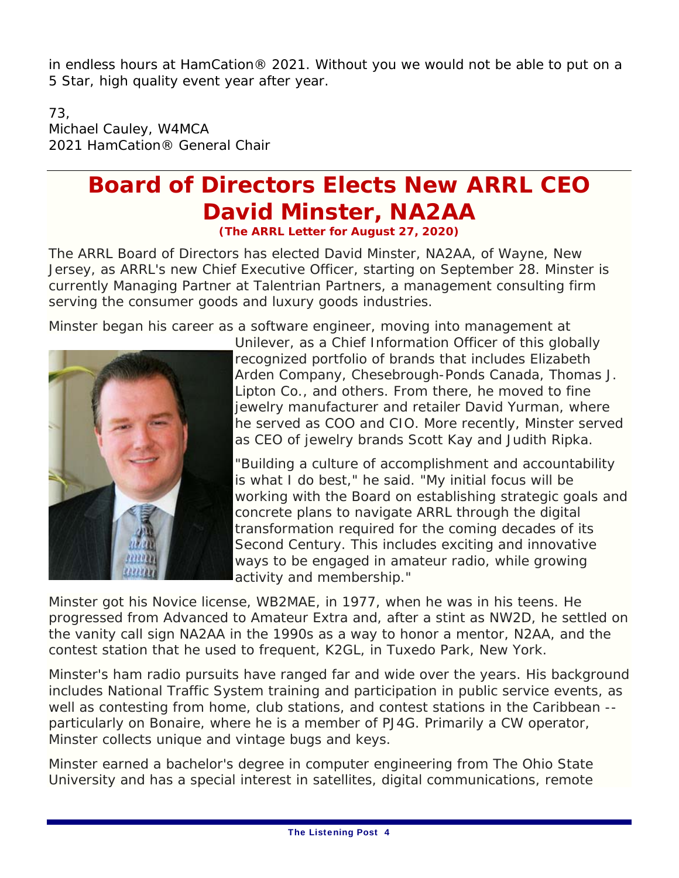in endless hours at HamCation® 2021. Without you we would not be able to put on a 5 Star, high quality event year after year.

73, Michael Cauley, W4MCA 2021 HamCation® General Chair

#### **Board of Directors Elects New ARRL CEO David Minster, NA2AA (The ARRL Letter for August 27, 2020)**

The ARRL Board of Directors has elected David Minster, NA2AA, of Wayne, New Jersey, as ARRL's new Chief Executive Officer, starting on September 28. Minster is currently Managing Partner at Talentrian Partners, a management consulting firm serving the consumer goods and luxury goods industries.

Minster began his career as a software engineer, moving into management at



Unilever, as a Chief Information Officer of this globally recognized portfolio of brands that includes Elizabeth Arden Company, Chesebrough-Ponds Canada, Thomas J. Lipton Co., and others. From there, he moved to fine jewelry manufacturer and retailer David Yurman, where he served as COO and CIO. More recently, Minster served as CEO of jewelry brands Scott Kay and Judith Ripka.

"Building a culture of accomplishment and accountability is what I do best," he said. "My initial focus will be working with the Board on establishing strategic goals and concrete plans to navigate ARRL through the digital transformation required for the coming decades of its Second Century. This includes exciting and innovative ways to be engaged in amateur radio, while growing activity and membership."

Minster got his Novice license, WB2MAE, in 1977, when he was in his teens. He progressed from Advanced to Amateur Extra and, after a stint as NW2D, he settled on the vanity call sign NA2AA in the 1990s as a way to honor a mentor, N2AA, and the contest station that he used to frequent, K2GL, in Tuxedo Park, New York.

Minster's ham radio pursuits have ranged far and wide over the years. His background includes National Traffic System training and participation in public service events, as well as contesting from home, club stations, and contest stations in the Caribbean - particularly on Bonaire, where he is a member of PJ4G. Primarily a CW operator, Minster collects unique and vintage bugs and keys.

Minster earned a bachelor's degree in computer engineering from The Ohio State University and has a special interest in satellites, digital communications, remote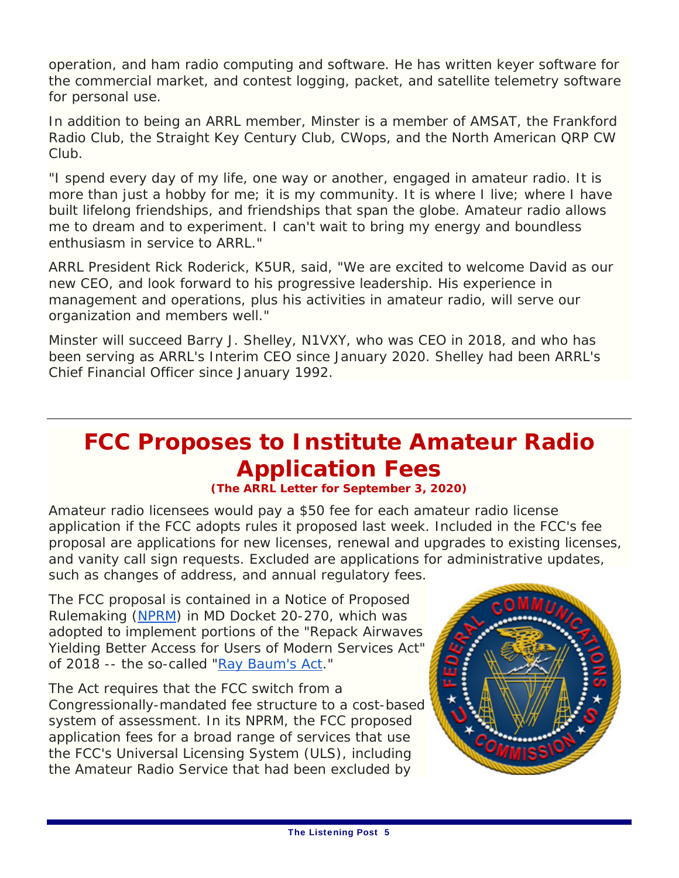operation, and ham radio computing and software. He has written keyer software for the commercial market, and contest logging, packet, and satellite telemetry software for personal use.

In addition to being an ARRL member, Minster is a member of AMSAT, the Frankford Radio Club, the Straight Key Century Club, CWops, and the North American QRP CW Club.

"I spend every day of my life, one way or another, engaged in amateur radio. It is more than just a hobby for me; it is my community. It is where I live; where I have built lifelong friendships, and friendships that span the globe. Amateur radio allows me to dream and to experiment. I can't wait to bring my energy and boundless enthusiasm in service to ARRL."

ARRL President Rick Roderick, K5UR, said, "We are excited to welcome David as our new CEO, and look forward to his progressive leadership. His experience in management and operations, plus his activities in amateur radio, will serve our organization and members well."

Minster will succeed Barry J. Shelley, N1VXY, who was CEO in 2018, and who has been serving as ARRL's Interim CEO since January 2020. Shelley had been ARRL's Chief Financial Officer since January 1992.

### **FCC Proposes to Institute Amateur Radio Application Fees**

#### **(The ARRL Letter for September 3, 2020)**

Amateur radio licensees would pay a \$50 fee for each amateur radio license application if the FCC adopts rules it proposed last week. Included in the FCC's fee proposal are applications for new licenses, renewal and upgrades to existing licenses, and vanity call sign requests. Excluded are applications for administrative updates, such as changes of address, and annual regulatory fees.

The FCC proposal is contained in a *Notice of Proposed Rulemaking* (*NPRM*) in MD Docket 20-270, which was adopted to implement portions of the "Repack Airwaves Yielding Better Access for Users of Modern Services Act" of 2018 -- the so-called "Ray Baum's Act."

The Act requires that the FCC switch from a Congressionally-mandated fee structure to a cost-based system of assessment. In its *NPRM*, the FCC proposed application fees for a broad range of services that use the FCC's Universal Licensing System (ULS), including the Amateur Radio Service that had been excluded by

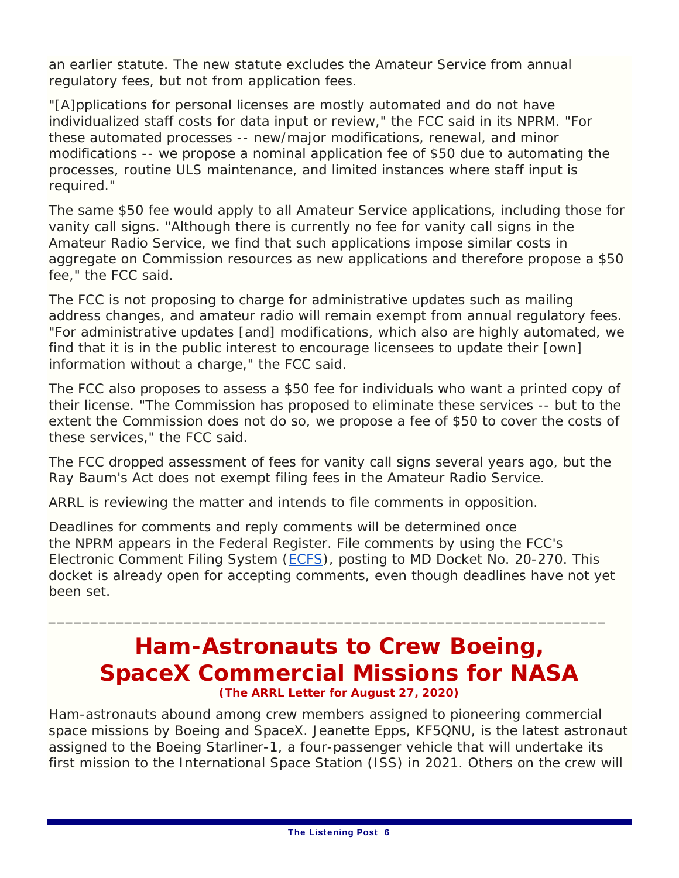an earlier statute. The new statute excludes the Amateur Service from annual regulatory fees, but not from application fees.

"[A]pplications for personal licenses are mostly automated and do not have individualized staff costs for data input or review," the FCC said in its *NPRM*. "For these automated processes -- new/major modifications, renewal, and minor modifications -- we propose a nominal application fee of \$50 due to automating the processes, routine ULS maintenance, and limited instances where staff input is required."

The same \$50 fee would apply to all Amateur Service applications, including those for vanity call signs. "Although there is currently no fee for vanity call signs in the Amateur Radio Service, we find that such applications impose similar costs in aggregate on Commission resources as new applications and therefore propose a \$50 fee," the FCC said.

The FCC is not proposing to charge for administrative updates such as mailing address changes, and amateur radio will remain exempt from annual regulatory fees. "For administrative updates [and] modifications, which also are highly automated, we find that it is in the public interest to encourage licensees to update their [own] information without a charge," the FCC said.

The FCC also proposes to assess a \$50 fee for individuals who want a printed copy of their license. "The Commission has proposed to eliminate these services -- but to the extent the Commission does not do so, we propose a fee of \$50 to cover the costs of these services," the FCC said.

The FCC dropped assessment of fees for vanity call signs several years ago, but the Ray Baum's Act does not exempt filing fees in the Amateur Radio Service.

ARRL is reviewing the matter and intends to file comments in opposition.

Deadlines for comments and reply comments will be determined once the *NPRM* appears in the *Federal Register*. File comments by using the FCC's Electronic Comment Filing System (ECFS), posting to MD Docket No. 20-270. This docket is already open for accepting comments, even though deadlines have not yet been set.

 $\overline{\phantom{a}}$  , and the contribution of the contribution of the contribution of the contribution of  $\overline{\phantom{a}}$ 

#### **Ham-Astronauts to Crew Boeing, SpaceX Commercial Missions for NASA (The ARRL Letter for August 27, 2020)**

Ham-astronauts abound among crew members assigned to pioneering commercial space missions by Boeing and SpaceX. Jeanette Epps, KF5QNU, is the latest astronaut assigned to the Boeing Starliner-1, a four-passenger vehicle that will undertake its first mission to the International Space Station (ISS) in 2021. Others on the crew will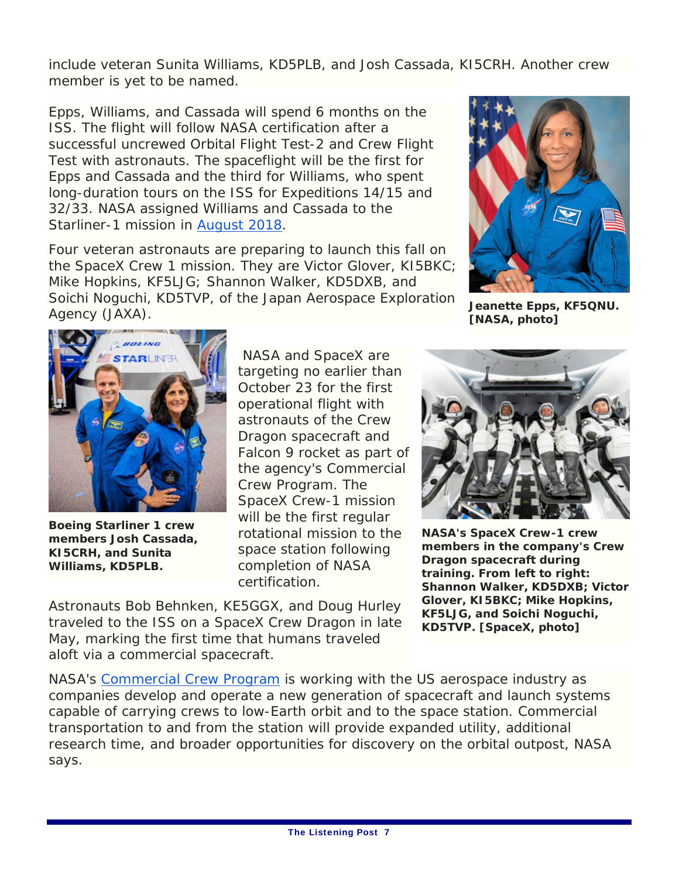include veteran Sunita Williams, KD5PLB, and Josh Cassada, KI5CRH. Another crew member is yet to be named.

Epps, Williams, and Cassada will spend 6 months on the ISS. The flight will follow NASA certification after a successful uncrewed Orbital Flight Test-2 and Crew Flight Test with astronauts. The spaceflight will be the first for Epps and Cassada and the third for Williams, who spent long-duration tours on the ISS for Expeditions 14/15 and 32/33. NASA assigned Williams and Cassada to the Starliner-1 mission in August 2018.

Four veteran astronauts are preparing to launch this fall on the SpaceX Crew 1 mission. They are Victor Glover, KI5BKC; Mike Hopkins, KF5LJG; Shannon Walker, KD5DXB, and Soichi Noguchi, KD5TVP, of the Japan Aerospace Exploration Agency (JAXA).



**Jeanette Epps, KF5QNU. [NASA, photo]**



**Boeing Starliner 1 crew members Josh Cassada, KI5CRH, and Sunita Williams, KD5PLB.**

 NASA and SpaceX are targeting no earlier than October 23 for the first operational flight with astronauts of the Crew Dragon spacecraft and Falcon 9 rocket as part of the agency's Commercial Crew Program. The SpaceX Crew-1 mission will be the first regular rotational mission to the space station following completion of NASA certification.

Astronauts Bob Behnken, KE5GGX, and Doug Hurley traveled to the ISS on a SpaceX Crew Dragon in late May, marking the first time that humans traveled aloft via a commercial spacecraft.

**NASA's SpaceX Crew-1 crew members in the company's Crew Dragon spacecraft during training. From left to right: Shannon Walker, KD5DXB; Victor Glover, KI5BKC; Mike Hopkins, KF5LJG, and Soichi Noguchi, KD5TVP. [SpaceX, photo]**

NASA's Commercial Crew Program is working with the US aerospace industry as companies develop and operate a new generation of spacecraft and launch systems capable of carrying crews to low-Earth orbit and to the space station. Commercial transportation to and from the station will provide expanded utility, additional research time, and broader opportunities for discovery on the orbital outpost, NASA says.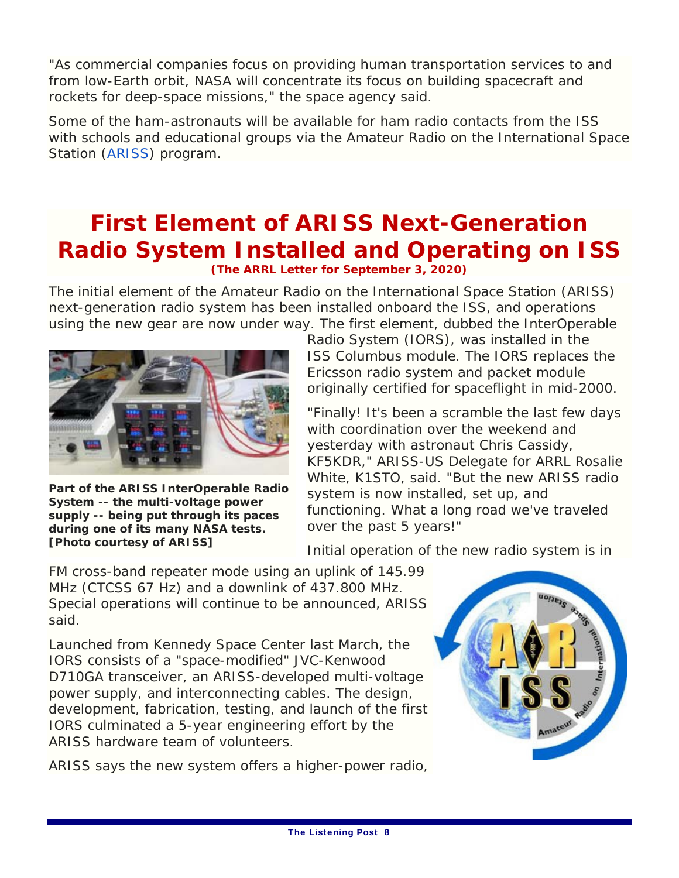"As commercial companies focus on providing human transportation services to and from low-Earth orbit, NASA will concentrate its focus on building spacecraft and rockets for deep-space missions," the space agency said.

Some of the ham-astronauts will be available for ham radio contacts from the ISS with schools and educational groups via the Amateur Radio on the International Space Station (ARISS) program.

#### **First Element of ARISS Next-Generation Radio System Installed and Operating on ISS (The ARRL Letter for September 3, 2020)**

The initial element of the Amateur Radio on the International Space Station (ARISS) next-generation radio system has been installed onboard the ISS, and operations using the new gear are now under way. The first element, dubbed the InterOperable



**Part of the ARISS InterOperable Radio System -- the multi-voltage power supply -- being put through its paces during one of its many NASA tests. [Photo courtesy of ARISS]**

Radio System (IORS), was installed in the ISS *Columbus* module. The IORS replaces the Ericsson radio system and packet module originally certified for spaceflight in mid-2000.

"Finally! It's been a scramble the last few days with coordination over the weekend and yesterday with astronaut Chris Cassidy, KF5KDR," ARISS-US Delegate for ARRL Rosalie White, K1STO, said. "But the new ARISS radio system is now installed, set up, and functioning. What a long road we've traveled over the past 5 years!"

Initial operation of the new radio system is in

FM cross-band repeater mode using an uplink of 145.99 MHz (CTCSS 67 Hz) and a downlink of 437.800 MHz. Special operations will continue to be announced, ARISS said.

Launched from Kennedy Space Center last March, the IORS consists of a "space-modified" JVC-Kenwood D710GA transceiver, an ARISS-developed multi-voltage power supply, and interconnecting cables. The design, development, fabrication, testing, and launch of the first IORS culminated a 5-year engineering effort by the ARISS hardware team of volunteers.

ARISS says the new system offers a higher-power radio,

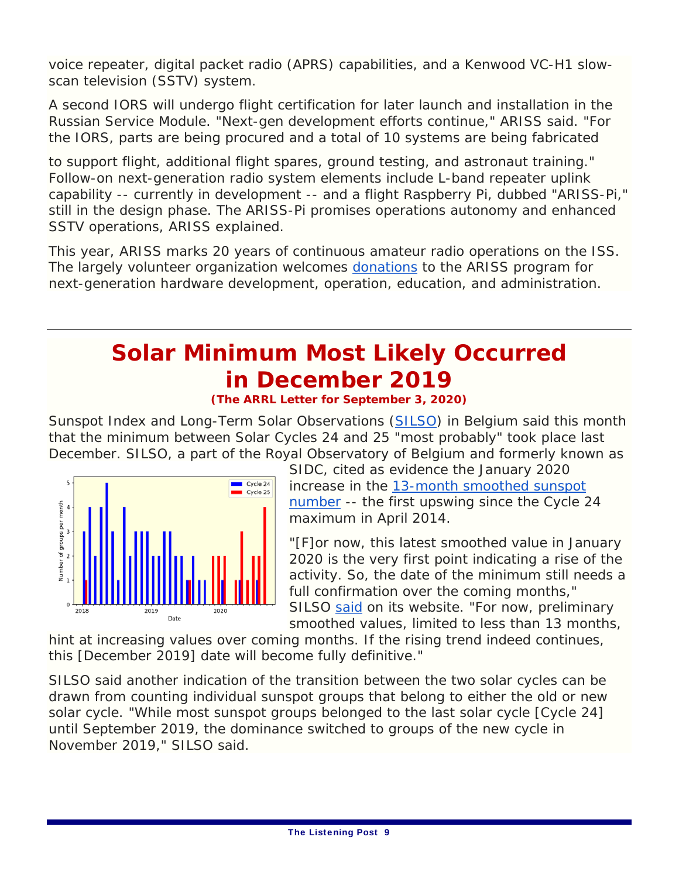voice repeater, digital packet radio (APRS) capabilities, and a Kenwood VC-H1 slowscan television (SSTV) system.

A second IORS will undergo flight certification for later launch and installation in the Russian Service Module. "Next-gen development efforts continue," ARISS said. "For the IORS, parts are being procured and a total of 10 systems are being fabricated

to support flight, additional flight spares, ground testing, and astronaut training." Follow-on next-generation radio system elements include L-band repeater uplink capability -- currently in development -- and a flight Raspberry Pi, dubbed "ARISS-Pi," still in the design phase. The ARISS-Pi promises operations autonomy and enhanced SSTV operations, ARISS explained.

This year, ARISS marks 20 years of continuous amateur radio operations on the ISS. The largely volunteer organization welcomes donations to the ARISS program for next-generation hardware development, operation, education, and administration.

### **Solar Minimum Most Likely Occurred in December 2019**

**(The ARRL Letter for September 3, 2020)**

Sunspot Index and Long-Term Solar Observations (SILSO) in Belgium said this month that the minimum between Solar Cycles 24 and 25 "most probably" took place last December. SILSO, a part of the Royal Observatory of Belgium and formerly known as



SIDC, cited as evidence the January 2020 increase in the 13-month smoothed sunspot number -- the first upswing since the Cycle 24 maximum in April 2014.

"[F]or now, this latest smoothed value in January 2020 is the very first point indicating a rise of the activity. So, the date of the minimum still needs a full confirmation over the coming months," SILSO said on its website. "For now, preliminary smoothed values, limited to less than 13 months,

hint at increasing values over coming months. If the rising trend indeed continues, this [December 2019] date will become fully definitive."

SILSO said another indication of the transition between the two solar cycles can be drawn from counting individual sunspot groups that belong to either the old or new solar cycle. "While most sunspot groups belonged to the last solar cycle [Cycle 24] until September 2019, the dominance switched to groups of the new cycle in November 2019," SILSO said.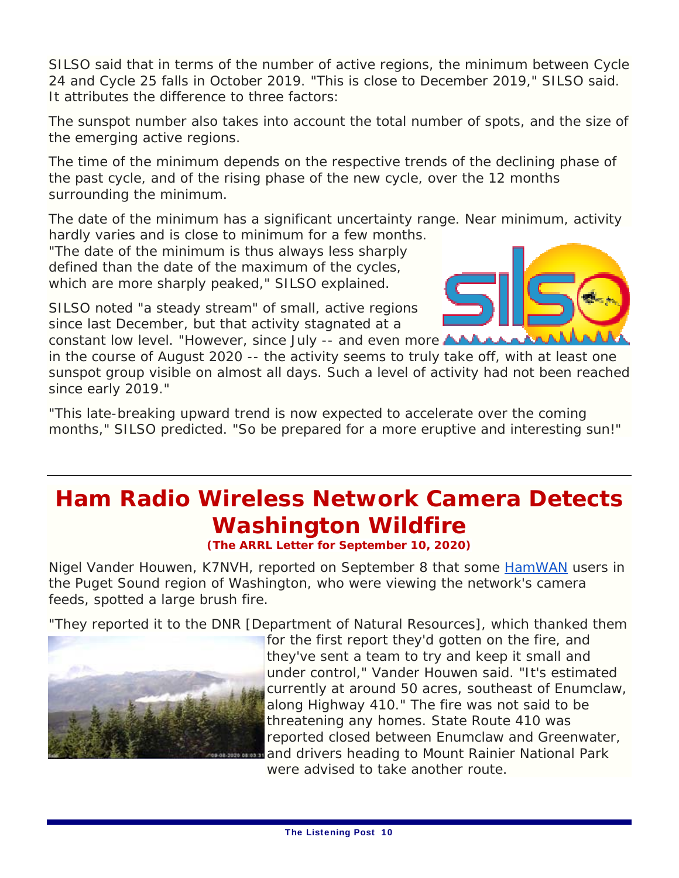SILSO said that in terms of the number of active regions, the minimum between Cycle 24 and Cycle 25 falls in October 2019. "This is close to December 2019," SILSO said. It attributes the difference to three factors:

The sunspot number also takes into account the total number of spots, and the size of the emerging active regions.

The time of the minimum depends on the respective trends of the declining phase of the past cycle, and of the rising phase of the new cycle, over the 12 months surrounding the minimum.

The date of the minimum has a significant uncertainty range. Near minimum, activity hardly varies and is close to minimum for a few months.

"The date of the minimum is thus always less sharply defined than the date of the maximum of the cycles, which are more sharply peaked," SILSO explained.

SILSO noted "a steady stream" of small, active regions since last December, but that activity stagnated at a constant low level. "However, since July -- and even more AAAAAAAAA



in the course of August 2020 -- the activity seems to truly take off, with at least one sunspot group visible on almost all days. Such a level of activity had not been reached since early 2019."

"This late-breaking upward trend is now expected to accelerate over the coming months," SILSO predicted. "So be prepared for a more eruptive and interesting sun!"

### **Ham Radio Wireless Network Camera Detects Washington Wildfire**

**(The ARRL Letter for September 10, 2020)**

Nigel Vander Houwen, K7NVH, reported on September 8 that some HamWAN users in the Puget Sound region of Washington, who were viewing the network's camera feeds, spotted a large brush fire.

"They reported it to the DNR [Department of Natural Resources], which thanked them



for the first report they'd gotten on the fire, and they've sent a team to try and keep it small and under control," Vander Houwen said. "It's estimated currently at around 50 acres, southeast of Enumclaw, along Highway 410." The fire was not said to be threatening any homes. State Route 410 was reported closed between Enumclaw and Greenwater, and drivers heading to Mount Rainier National Park were advised to take another route.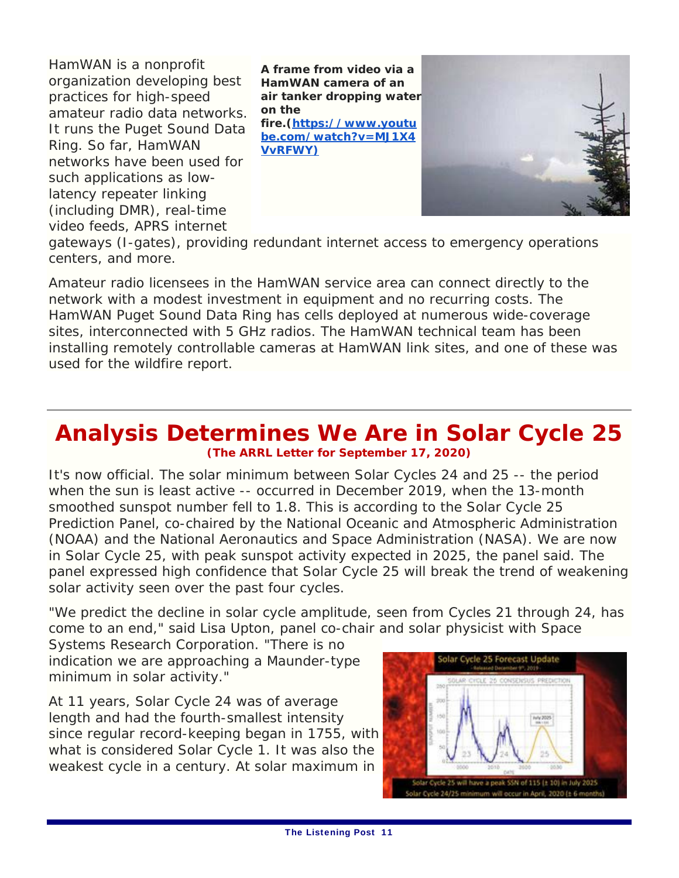HamWAN is a nonprofit organization developing best practices for high-speed amateur radio data networks. It runs the Puget Sound Data Ring. So far, HamWAN networks have been used for such applications as lowlatency repeater linking (including DMR), real-time video feeds, APRS internet

**A frame from video via a HamWAN camera of an air tanker dropping water on the fire.(https://www.youtu be.com/watch?v=MJ1X4 VvRFWY)**



gateways (I-gates), providing redundant internet access to emergency operations centers, and more.

Amateur radio licensees in the HamWAN service area can connect directly to the network with a modest investment in equipment and no recurring costs. The HamWAN Puget Sound Data Ring has cells deployed at numerous wide-coverage sites, interconnected with 5 GHz radios. The HamWAN technical team has been installing remotely controllable cameras at HamWAN link sites, and one of these was used for the wildfire report.

#### **Analysis Determines We Are in Solar Cycle 25 (The ARRL Letter for September 17, 2020)**

It's now official. The solar minimum between Solar Cycles 24 and 25 -- the period when the sun is least active -- occurred in December 2019, when the 13-month smoothed sunspot number fell to 1.8. This is according to the Solar Cycle 25 Prediction Panel, co-chaired by the National Oceanic and Atmospheric Administration (NOAA) and the National Aeronautics and Space Administration (NASA). We are now in Solar Cycle 25, with peak sunspot activity expected in 2025, the panel said. The panel expressed high confidence that Solar Cycle 25 will break the trend of weakening solar activity seen over the past four cycles.

"We predict the decline in solar cycle amplitude, seen from Cycles 21 through 24, has come to an end," said Lisa Upton, panel co-chair and solar physicist with Space

Systems Research Corporation. "There is no indication we are approaching a Maunder-type minimum in solar activity."

At 11 years, Solar Cycle 24 was of average length and had the fourth-smallest intensity since regular record-keeping began in 1755, with what is considered Solar Cycle 1. It was also the weakest cycle in a century. At solar maximum in

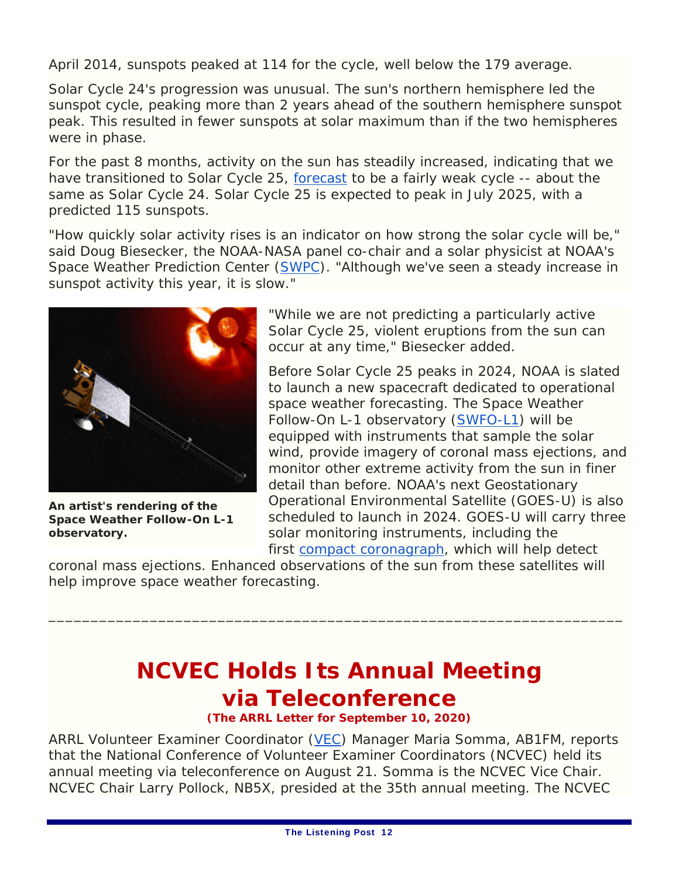April 2014, sunspots peaked at 114 for the cycle, well below the 179 average.

Solar Cycle 24's progression was unusual. The sun's northern hemisphere led the sunspot cycle, peaking more than 2 years ahead of the southern hemisphere sunspot peak. This resulted in fewer sunspots at solar maximum than if the two hemispheres were in phase.

For the past 8 months, activity on the sun has steadily increased, indicating that we have transitioned to Solar Cycle 25, forecast to be a fairly weak cycle -- about the same as Solar Cycle 24. Solar Cycle 25 is expected to peak in July 2025, with a predicted 115 sunspots.

"How quickly solar activity rises is an indicator on how strong the solar cycle will be," said Doug Biesecker, the NOAA-NASA panel co-chair and a solar physicist at NOAA's Space Weather Prediction Center (SWPC). "Although we've seen a steady increase in sunspot activity this year, it is slow."



**An artist's rendering of the Space Weather Follow-On L-1 observatory.**

"While we are not predicting a particularly active Solar Cycle 25, violent eruptions from the sun can occur at any time," Biesecker added.

Before Solar Cycle 25 peaks in 2024, NOAA is slated to launch a new spacecraft dedicated to operational space weather forecasting. The Space Weather Follow-On L-1 observatory (SWFO-L1) will be equipped with instruments that sample the solar wind, provide imagery of coronal mass ejections, and monitor other extreme activity from the sun in finer detail than before. NOAA's next Geostationary Operational Environmental Satellite (GOES-U) is also scheduled to launch in 2024. GOES-U will carry three solar monitoring instruments, including the first compact coronagraph, which will help detect

coronal mass ejections. Enhanced observations of the sun from these satellites will help improve space weather forecasting.

### **NCVEC Holds Its Annual Meeting via Teleconference**

\_\_\_\_\_\_\_\_\_\_\_\_\_\_\_\_\_\_\_\_\_\_\_\_\_\_\_\_\_\_\_\_\_\_\_\_\_\_\_\_\_\_\_\_\_\_\_\_\_\_\_\_\_\_\_\_\_\_\_\_\_\_\_\_\_\_\_\_

**(The ARRL Letter for September 10, 2020)**

ARRL Volunteer Examiner Coordinator (VEC) Manager Maria Somma, AB1FM, reports that the National Conference of Volunteer Examiner Coordinators (NCVEC) held its annual meeting via teleconference on August 21. Somma is the NCVEC Vice Chair. NCVEC Chair Larry Pollock, NB5X, presided at the 35th annual meeting. The NCVEC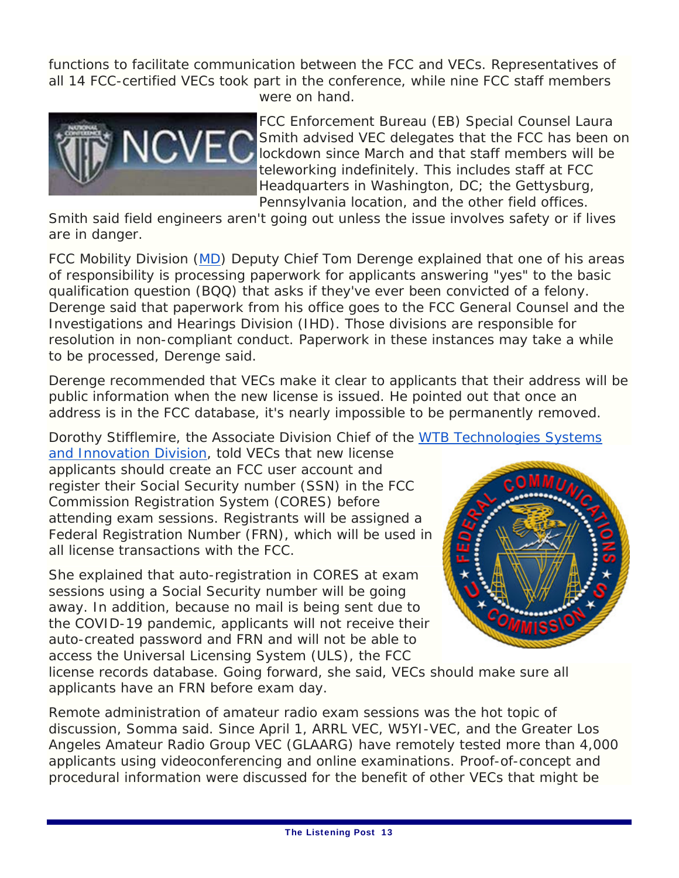functions to facilitate communication between the FCC and VECs. Representatives of all 14 FCC-certified VECs took part in the conference, while nine FCC staff members were on hand.



FCC Enforcement Bureau (EB) Special Counsel Laura Smith advised VEC delegates that the FCC has been on lockdown since March and that staff members will be teleworking indefinitely. This includes staff at FCC Headquarters in Washington, DC; the Gettysburg, Pennsylvania location, and the other field offices.

Smith said field engineers aren't going out unless the issue involves safety or if lives are in danger.

FCC Mobility Division (MD) Deputy Chief Tom Derenge explained that one of his areas of responsibility is processing paperwork for applicants answering "yes" to the basic qualification question (BQQ) that asks if they've ever been convicted of a felony. Derenge said that paperwork from his office goes to the FCC General Counsel and the Investigations and Hearings Division (IHD). Those divisions are responsible for resolution in non-compliant conduct. Paperwork in these instances may take a while to be processed, Derenge said.

Derenge recommended that VECs make it clear to applicants that their address will be public information when the new license is issued. He pointed out that once an address is in the FCC database, it's nearly impossible to be permanently removed.

Dorothy Stifflemire, the Associate Division Chief of the WTB Technologies Systems

and Innovation Division, told VECs that new license applicants should create an FCC user account and register their Social Security number (SSN) in the FCC Commission Registration System (CORES) before attending exam sessions. Registrants will be assigned a Federal Registration Number (FRN), which will be used in all license transactions with the FCC.

She explained that auto-registration in CORES at exam sessions using a Social Security number will be going away. In addition, because no mail is being sent due to the COVID-19 pandemic, applicants will not receive their auto-created password and FRN and will not be able to access the Universal Licensing System (ULS), the FCC



license records database. Going forward, she said, VECs should make sure all applicants have an FRN before exam day.

Remote administration of amateur radio exam sessions was the hot topic of discussion, Somma said. Since April 1, ARRL VEC, W5YI-VEC, and the Greater Los Angeles Amateur Radio Group VEC (GLAARG) have remotely tested more than 4,000 applicants using videoconferencing and online examinations. Proof-of-concept and procedural information were discussed for the benefit of other VECs that might be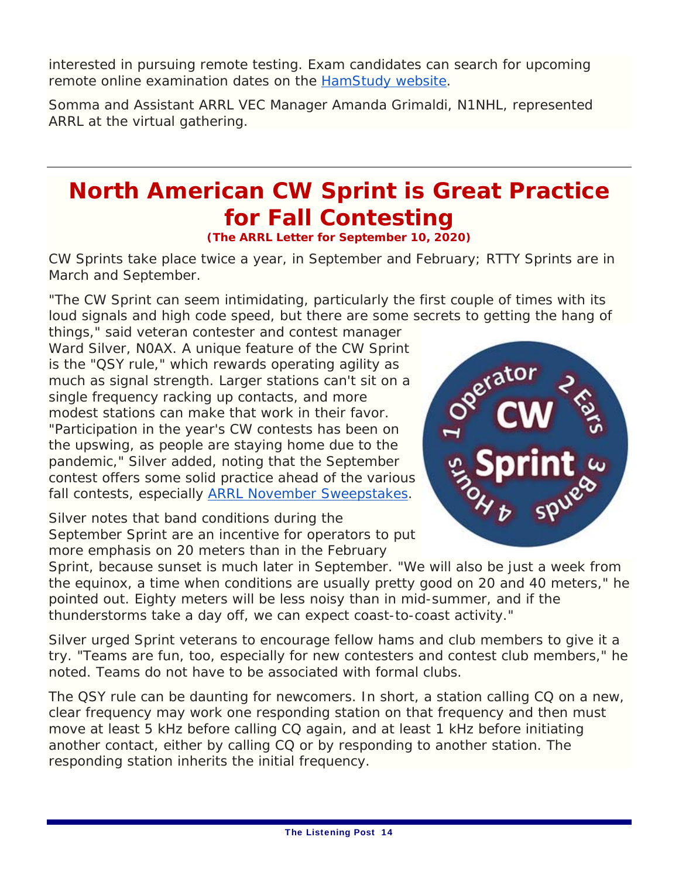interested in pursuing remote testing. Exam candidates can search for upcoming remote online examination dates on the HamStudy website.

Somma and Assistant ARRL VEC Manager Amanda Grimaldi, N1NHL, represented ARRL at the virtual gathering.

### **North American CW Sprint is Great Practice for Fall Contesting**

**(The ARRL Letter for September 10, 2020)**

CW Sprints take place twice a year, in September and February; RTTY Sprints are in March and September.

"The CW Sprint can seem intimidating, particularly the first couple of times with its loud signals and high code speed, but there are some secrets to getting the hang of

things," said veteran contester and contest manager Ward Silver, N0AX. A unique feature of the CW Sprint is the "QSY rule," which rewards operating agility as much as signal strength. Larger stations can't sit on a single frequency racking up contacts, and more modest stations can make that work in their favor. "Participation in the year's CW contests has been on the upswing, as people are staying home due to the pandemic," Silver added, noting that the September contest offers some solid practice ahead of the various fall contests, especially ARRL November Sweepstakes.

Silver notes that band conditions during the September Sprint are an incentive for operators to put more emphasis on 20 meters than in the February



Sprint, because sunset is much later in September. "We will also be just a week from the equinox, a time when conditions are usually pretty good on 20 and 40 meters," he pointed out. Eighty meters will be less noisy than in mid-summer, and if the thunderstorms take a day off, we can expect coast-to-coast activity."

Silver urged Sprint veterans to encourage fellow hams and club members to give it a try. "Teams are fun, too, especially for new contesters and contest club members," he noted. Teams do not have to be associated with formal clubs.

The QSY rule can be daunting for newcomers. In short, a station calling CQ on a new, clear frequency may work one responding station on that frequency and then must move at least 5 kHz before calling CQ again, and at least 1 kHz before initiating another contact, either by calling CQ or by responding to another station. The responding station inherits the initial frequency.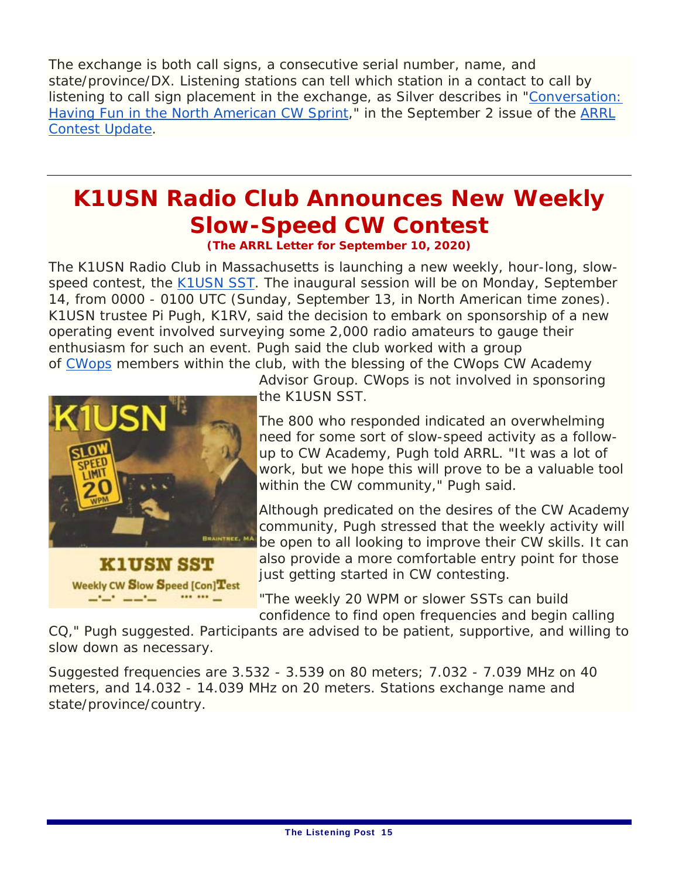The exchange is both call signs, a consecutive serial number, name, and state/province/DX. Listening stations can tell which station in a contact to call by listening to call sign placement in the exchange, as Silver describes in "Conversation: Having Fun in the North American CW Sprint," in the September 2 issue of the *ARRL Contest Update*.

### **K1USN Radio Club Announces New Weekly Slow-Speed CW Contest**

**(The ARRL Letter for September 10, 2020)**

The K1USN Radio Club in Massachusetts is launching a new weekly, hour-long, slowspeed contest, the K1USN SST. The inaugural session will be on Monday, September 14, from 0000 - 0100 UTC (Sunday, September 13, in North American time zones). K1USN trustee Pi Pugh, K1RV, said the decision to embark on sponsorship of a new operating event involved surveying some 2,000 radio amateurs to gauge their enthusiasm for such an event. Pugh said the club worked with a group of CWops members within the club, with the blessing of the CWops CW Academy



and the second state of the

Advisor Group. CWops is not involved in sponsoring the K1USN SST.

The 800 who responded indicated an overwhelming need for some sort of slow-speed activity as a followup to CW Academy, Pugh told ARRL. "It was a lot of work, but we hope this will prove to be a valuable tool within the CW community," Pugh said.

Although predicated on the desires of the CW Academy community, Pugh stressed that the weekly activity will be open to all looking to improve their CW skills. It can also provide a more comfortable entry point for those just getting started in CW contesting.

"The weekly 20 WPM or slower SSTs can build confidence to find open frequencies and begin calling

CQ," Pugh suggested. Participants are advised to be patient, supportive, and willing to slow down as necessary.

Suggested frequencies are 3.532 - 3.539 on 80 meters; 7.032 - 7.039 MHz on 40 meters, and 14.032 - 14.039 MHz on 20 meters. Stations exchange name and state/province/country.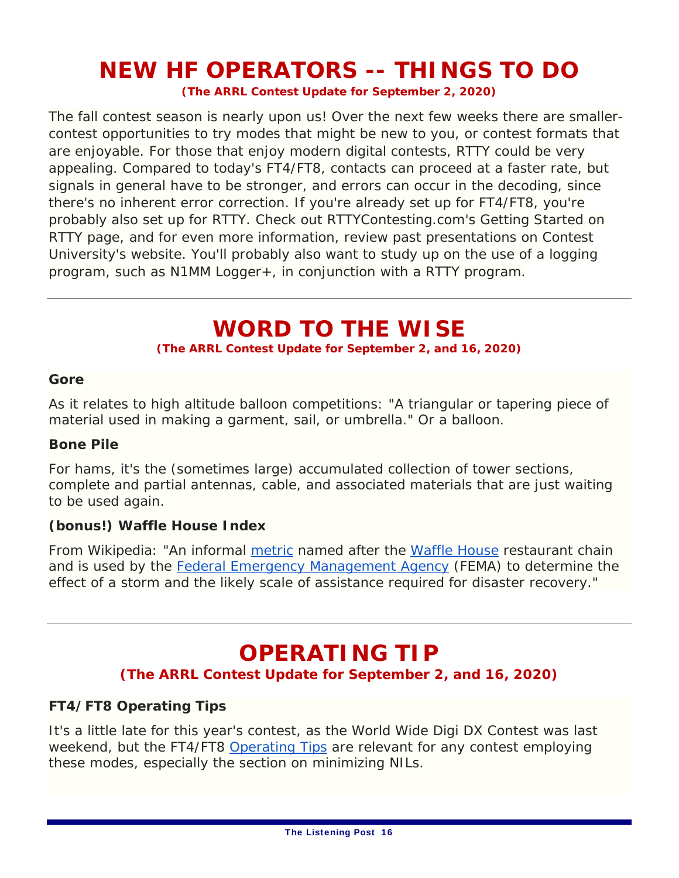### **NEW HF OPERATORS -- THINGS TO DO**

**(The ARRL Contest Update for September 2, 2020)**

The fall contest season is nearly upon us! Over the next few weeks there are smallercontest opportunities to try modes that might be new to you, or contest formats that are enjoyable. For those that enjoy modern digital contests, RTTY could be very appealing. Compared to today's FT4/FT8, contacts can proceed at a faster rate, but signals in general have to be stronger, and errors can occur in the decoding, since there's no inherent error correction. If you're already set up for FT4/FT8, you're probably also set up for RTTY. Check out RTTYContesting.com's Getting Started on RTTY page, and for even more information, review past presentations on Contest University's website. You'll probably also want to study up on the use of a logging program, such as N1MM Logger+, in conjunction with a RTTY program.

#### **WORD TO THE WISE**

**(The ARRL Contest Update for September 2, and 16, 2020)** 

#### **Gore**

As it relates to high altitude balloon competitions: "A triangular or tapering piece of material used in making a garment, sail, or umbrella." Or a balloon.

#### **Bone Pile**

For hams, it's the (sometimes large) accumulated collection of tower sections, complete and partial antennas, cable, and associated materials that are just waiting to be used again.

#### **(bonus!) Waffle House Index**

From Wikipedia: "An informal metric named after the Waffle House restaurant chain and is used by the Federal Emergency Management Agency (FEMA) to determine the effect of a storm and the likely scale of assistance required for disaster recovery."

### **OPERATING TIP**

#### **(The ARRL Contest Update for September 2, and 16, 2020)**

#### **FT4/FT8 Operating Tips**

It's a little late for this year's contest, as the World Wide Digi DX Contest was last weekend, but the FT4/FT8 Operating Tips are relevant for any contest employing these modes, especially the section on minimizing NILs.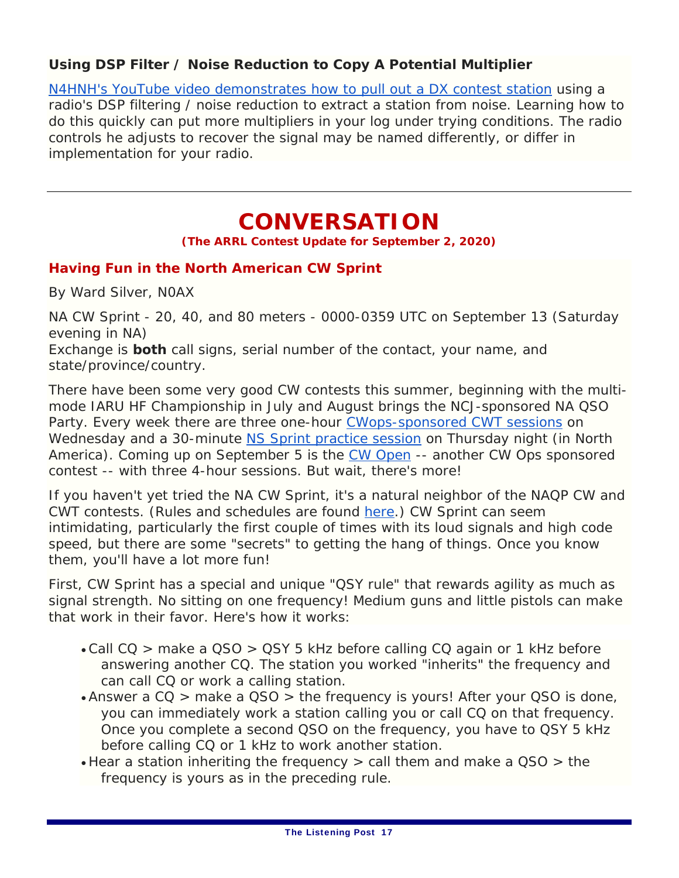#### **Using DSP Filter / Noise Reduction to Copy A Potential Multiplier**

N4HNH's YouTube video demonstrates how to pull out a DX contest station using a radio's DSP filtering / noise reduction to extract a station from noise. Learning how to do this quickly can put more multipliers in your log under trying conditions. The radio controls he adjusts to recover the signal may be named differently, or differ in implementation for your radio.

### **CONVERSATION**

**(The ARRL Contest Update for September 2, 2020)** 

#### **Having Fun in the North American CW Sprint**

By Ward Silver, N0AX

NA CW Sprint - 20, 40, and 80 meters - 0000-0359 UTC on September 13 (Saturday evening in NA)

Exchange is *both* call signs, serial number of the contact, your name, and state/province/country.

There have been some very good CW contests this summer, beginning with the multimode IARU HF Championship in July and August brings the *NCJ*-sponsored NA QSO Party. Every week there are three one-hour CWops-sponsored CWT sessions on Wednesday and a 30-minute NS Sprint practice session on Thursday night (in North America). Coming up on September 5 is the CW Open -- another CW Ops sponsored contest -- with three 4-hour sessions. But wait, there's more!

If you haven't yet tried the NA CW Sprint, it's a natural neighbor of the NAQP CW and CWT contests. (Rules and schedules are found here.) CW Sprint can seem intimidating, particularly the first couple of times with its loud signals and high code speed, but there are some "secrets" to getting the hang of things. Once you know them, you'll have a lot more fun!

First, CW Sprint has a special and unique "QSY rule" that rewards agility as much as signal strength. No sitting on one frequency! Medium guns and little pistols can make that work in their favor. Here's how it works:

- Call CQ > make a QSO > QSY 5 kHz before calling CQ again or 1 kHz before answering another CQ. The station you worked "inherits" the frequency and can call CQ or work a calling station.
- Answer a CQ > make a QSO > the frequency is yours! After your QSO is done, you can immediately work a station calling you or call CQ on that frequency. Once you complete a second QSO on the frequency, you have to QSY 5 kHz before calling CQ or 1 kHz to work another station.
- Hear a station inheriting the frequency > call them and make a QSO > the frequency is yours as in the preceding rule.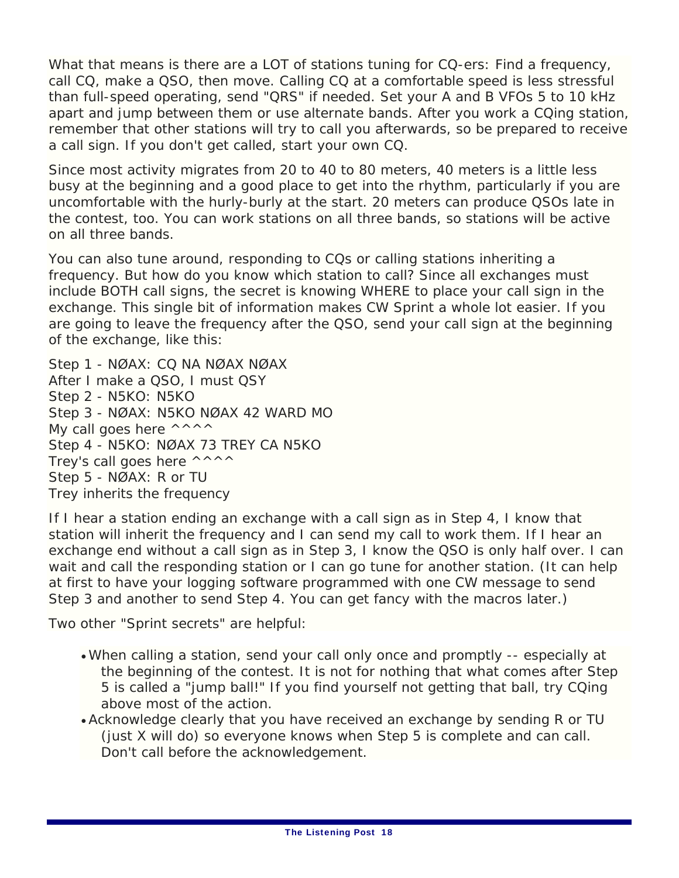What that means is there are a LOT of stations tuning for CQ-ers: Find a frequency, call CQ, make a QSO, then move. Calling CQ at a comfortable speed is less stressful than full-speed operating, send "QRS" if needed. Set your A and B VFOs 5 to 10 kHz apart and jump between them or use alternate bands. After you work a CQing station, remember that other stations will try to call you afterwards, so be prepared to receive a call sign. If you don't get called, start your own CQ.

Since most activity migrates from 20 to 40 to 80 meters, 40 meters is a little less busy at the beginning and a good place to get into the rhythm, particularly if you are uncomfortable with the hurly-burly at the start. 20 meters can produce QSOs late in the contest, too. You can work stations on all three bands, so stations will be active on all three bands.

You can also tune around, responding to CQs or calling stations inheriting a frequency. But how do you know which station to call? Since all exchanges must include BOTH call signs, the secret is knowing WHERE to place your call sign in the exchange. This single bit of information makes CW Sprint a whole lot easier. If you are going to leave the frequency after the QSO, send your call sign at the beginning of the exchange, like this:

Step 1 - NØAX: CQ NA NØAX NØAX After I make a QSO, I must QSY Step 2 - N5KO: N5KO Step 3 - NØAX: N5KO NØAX 42 WARD MO My call goes here  $\wedge \wedge \wedge \wedge$ Step 4 - N5KO: NØAX 73 TREY CA N5KO Trey's call goes here  $\wedge \wedge \wedge \wedge$ Step 5 - NØAX: R or TU Trey inherits the frequency

If I hear a station ending an exchange with a call sign as in Step 4, I know that station will inherit the frequency and I can send my call to work them. If I hear an exchange end without a call sign as in Step 3, I know the QSO is only half over. I can wait and call the responding station or I can go tune for another station. (It can help at first to have your logging software programmed with one CW message to send Step 3 and another to send Step 4. You can get fancy with the macros later.)

Two other "Sprint secrets" are helpful:

- When calling a station, send your call only once and promptly -- especially at the beginning of the contest. It is not for nothing that what comes after Step 5 is called a "jump ball!" If you find yourself not getting that ball, try CQing above most of the action.
- Acknowledge clearly that you have received an exchange by sending R or TU (just X will do) so everyone knows when Step 5 is complete and can call. Don't call before the acknowledgement.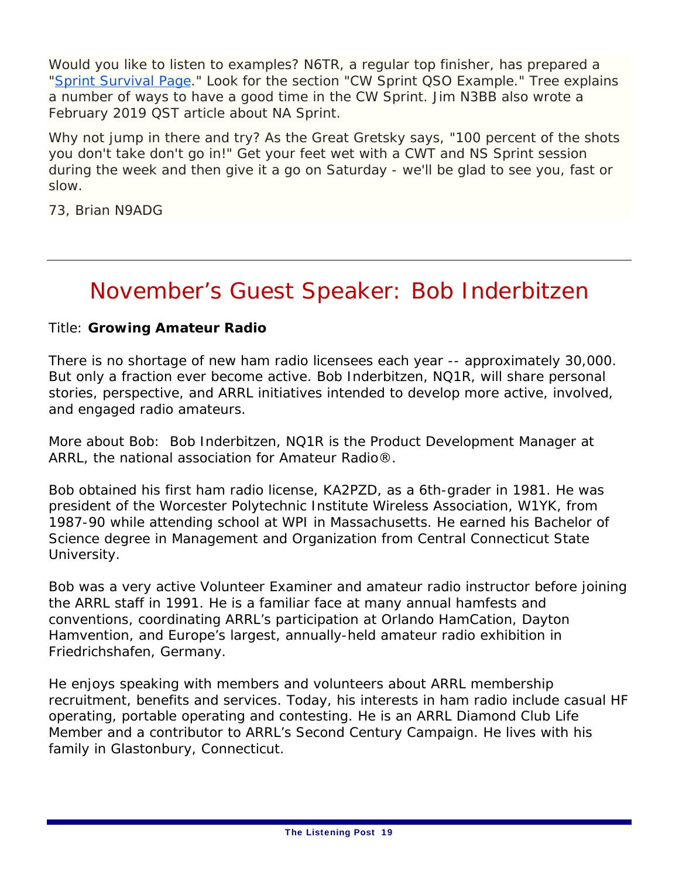Would you like to listen to examples? N6TR, a regular top finisher, has prepared a "Sprint Survival Page." Look for the section "CW Sprint QSO Example." Tree explains a number of ways to have a good time in the CW Sprint. Jim N3BB also wrote a February 2019 *QST* article about NA Sprint.

Why not jump in there and try? As the Great Gretsky says, "100 percent of the shots you don't take don't go in!" Get your feet wet with a CWT and NS Sprint session during the week and then give it a go on Saturday - we'll be glad to see you, fast or slow.

73, Brian N9ADG

### November's Guest Speaker: Bob Inderbitzen

#### Title: **Growing Amateur Radio**

There is no shortage of new ham radio licensees each year -- approximately 30,000. But only a fraction ever become active. Bob Inderbitzen, NQ1R, will share personal stories, perspective, and ARRL initiatives intended to develop more active, involved, and engaged radio amateurs.

More about Bob: Bob Inderbitzen, NQ1R is the Product Development Manager at ARRL, the national association for Amateur Radio®.

Bob obtained his first ham radio license, KA2PZD, as a 6th-grader in 1981. He was president of the Worcester Polytechnic Institute Wireless Association, W1YK, from 1987-90 while attending school at WPI in Massachusetts. He earned his Bachelor of Science degree in Management and Organization from Central Connecticut State University.

Bob was a very active Volunteer Examiner and amateur radio instructor before joining the ARRL staff in 1991. He is a familiar face at many annual hamfests and conventions, coordinating ARRL's participation at Orlando HamCation, Dayton Hamvention, and Europe's largest, annually-held amateur radio exhibition in Friedrichshafen, Germany.

He enjoys speaking with members and volunteers about ARRL membership recruitment, benefits and services. Today, his interests in ham radio include casual HF operating, portable operating and contesting. He is an ARRL Diamond Club Life Member and a contributor to ARRL's Second Century Campaign. He lives with his family in Glastonbury, Connecticut.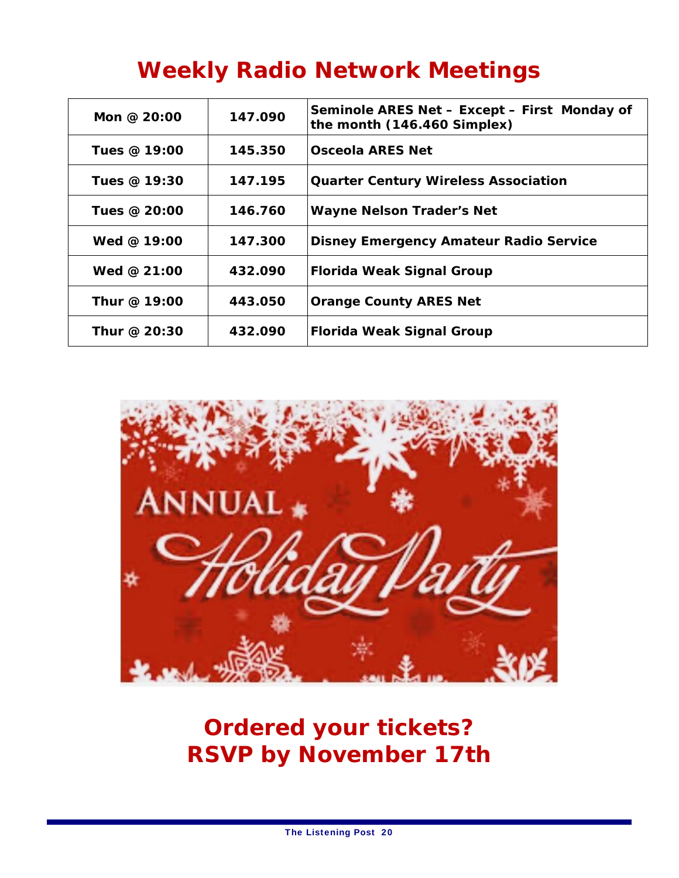### **Weekly Radio Network Meetings**

| Mon @ $20:00$ | 147.090 | Seminole ARES Net - Except - First Monday of<br>the month (146.460 Simplex) |
|---------------|---------|-----------------------------------------------------------------------------|
| Tues @ 19:00  | 145.350 | <b>Osceola ARES Net</b>                                                     |
| Tues @ 19:30  | 147.195 | <b>Quarter Century Wireless Association</b>                                 |
| Tues @ 20:00  | 146.760 | <b>Wayne Nelson Trader's Net</b>                                            |
| Wed $@$ 19:00 | 147.300 | <b>Disney Emergency Amateur Radio Service</b>                               |
| Wed @ $21:00$ | 432.090 | <b> Florida Weak Signal Group</b>                                           |
| Thur @ 19:00  | 443.050 | <b>Orange County ARES Net</b>                                               |
| Thur @ 20:30  | 432.090 | <b> Florida Weak Signal Group</b>                                           |



**Ordered your tickets? RSVP by November 17th**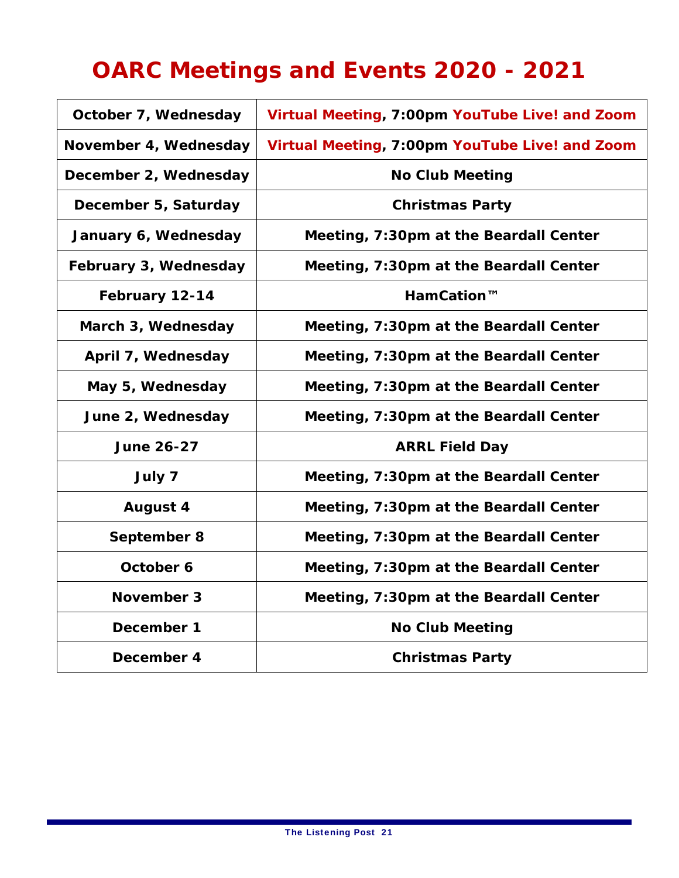### **OARC Meetings and Events 2020 - 2021**

| October 7, Wednesday  | Virtual Meeting, 7:00pm YouTube Live! and Zoom |  |  |
|-----------------------|------------------------------------------------|--|--|
| November 4, Wednesday | Virtual Meeting, 7:00pm YouTube Live! and Zoom |  |  |
| December 2, Wednesday | <b>No Club Meeting</b>                         |  |  |
| December 5, Saturday  | <b>Christmas Party</b>                         |  |  |
| January 6, Wednesday  | Meeting, 7:30pm at the Beardall Center         |  |  |
| February 3, Wednesday | Meeting, 7:30pm at the Beardall Center         |  |  |
| February 12-14        | HamCation™                                     |  |  |
| March 3, Wednesday    | Meeting, 7:30pm at the Beardall Center         |  |  |
| April 7, Wednesday    | Meeting, 7:30pm at the Beardall Center         |  |  |
| May 5, Wednesday      | Meeting, 7:30pm at the Beardall Center         |  |  |
| June 2, Wednesday     | Meeting, 7:30pm at the Beardall Center         |  |  |
| <b>June 26-27</b>     | <b>ARRL Field Day</b>                          |  |  |
| July 7                | Meeting, 7:30pm at the Beardall Center         |  |  |
| <b>August 4</b>       | Meeting, 7:30pm at the Beardall Center         |  |  |
| September 8           | Meeting, 7:30pm at the Beardall Center         |  |  |
| October 6             | Meeting, 7:30pm at the Beardall Center         |  |  |
| November 3            | Meeting, 7:30pm at the Beardall Center         |  |  |
| December 1            | <b>No Club Meeting</b>                         |  |  |
| December 4            | <b>Christmas Party</b>                         |  |  |